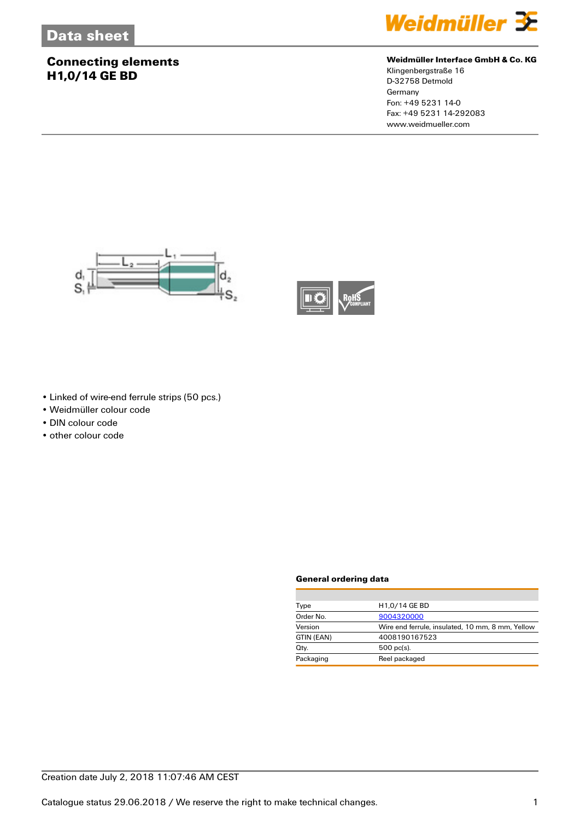### **Connecting elements H1,0/14 GE BD**



#### **Weidmüller Interface GmbH & Co. KG**

Klingenbergstraße 16 D-32758 Detmold **Germany** Fon: +49 5231 14-0 Fax: +49 5231 14-292083 www.weidmueller.com





- Linked of wire-end ferrule strips (50 pcs.)
- Weidmüller colour code
- DIN colour code
- other colour code

#### **General ordering data**

| Type       | H <sub>1,0</sub> /14 GE BD                       |  |
|------------|--------------------------------------------------|--|
| Order No.  | 9004320000                                       |  |
| Version    | Wire end ferrule, insulated, 10 mm, 8 mm, Yellow |  |
| GTIN (EAN) | 4008190167523                                    |  |
| Qty.       | $500$ pc(s).                                     |  |
| Packaging  | Reel packaged                                    |  |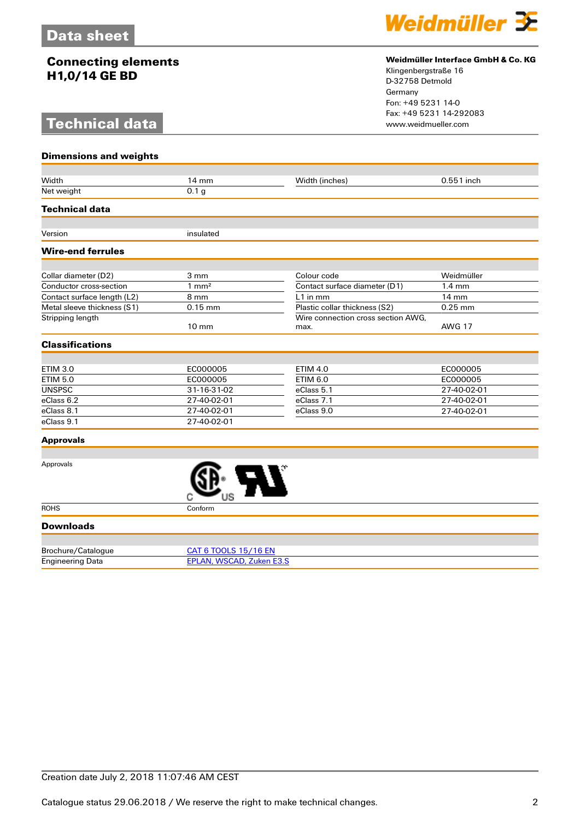### **Connecting elements H1,0/14 GE BD**

# **Technical data**



#### **Weidmüller Interface GmbH & Co. KG**

Klingenbergstraße 16 D-32758 Detmold Germany Fon: +49 5231 14-0 Fax: +49 5231 14-292083

| <b>Dimensions and weights</b> |                                 |                                    |                  |  |
|-------------------------------|---------------------------------|------------------------------------|------------------|--|
|                               |                                 |                                    |                  |  |
| Width                         | 14 mm                           | Width (inches)                     | 0.551 inch       |  |
| Net weight                    | 0.1 <sub>g</sub>                |                                    |                  |  |
| <b>Technical data</b>         |                                 |                                    |                  |  |
| Version                       | insulated                       |                                    |                  |  |
|                               |                                 |                                    |                  |  |
| <b>Wire-end ferrules</b>      |                                 |                                    |                  |  |
| Collar diameter (D2)          | 3 mm                            | Colour code                        | Weidmüller       |  |
| Conductor cross-section       | $1 \text{ mm}^2$                | Contact surface diameter (D1)      | $1.4 \text{ mm}$ |  |
| Contact surface length (L2)   | 8 mm                            | L1 in mm                           | 14 mm            |  |
| Metal sleeve thickness (S1)   | $0.15$ mm                       | Plastic collar thickness (S2)      | $0.25$ mm        |  |
| Stripping length              |                                 | Wire connection cross section AWG. |                  |  |
|                               | $10 \text{ mm}$                 | max.                               | <b>AWG 17</b>    |  |
| <b>Classifications</b>        |                                 |                                    |                  |  |
|                               |                                 |                                    |                  |  |
| <b>ETIM 3.0</b>               | EC000005                        | <b>ETIM 4.0</b>                    | EC000005         |  |
| <b>ETIM 5.0</b>               | EC000005                        | <b>ETIM 6.0</b>                    | EC000005         |  |
| <b>UNSPSC</b>                 | 31-16-31-02                     | eClass 5.1                         | 27-40-02-01      |  |
| eClass 6.2                    | 27-40-02-01                     | eClass 7.1                         | 27-40-02-01      |  |
| eClass 8.1                    | 27-40-02-01                     | eClass 9.0                         | 27-40-02-01      |  |
| eClass 9.1                    | 27-40-02-01                     |                                    |                  |  |
| <b>Approvals</b>              |                                 |                                    |                  |  |
|                               |                                 |                                    |                  |  |
| Approvals                     |                                 |                                    |                  |  |
| <b>ROHS</b>                   | Conform                         |                                    |                  |  |
| <b>Downloads</b>              |                                 |                                    |                  |  |
|                               |                                 |                                    |                  |  |
| Brochure/Catalogue            | <b>CAT 6 TOOLS 15/16 EN</b>     |                                    |                  |  |
|                               | <b>EPLAN, WSCAD, Zuken E3.S</b> |                                    |                  |  |